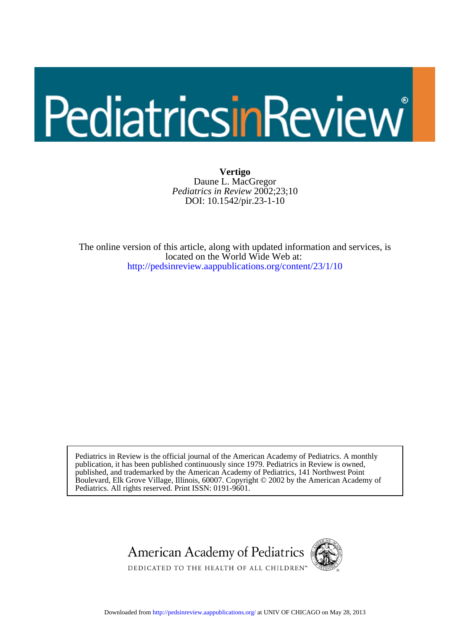# PediatricsinReview®

DOI: 10.1542/pir.23-1-10 *Pediatrics in Review* 2002;23;10 Daune L. MacGregor **Vertigo**

<http://pedsinreview.aappublications.org/content/23/1/10> located on the World Wide Web at: The online version of this article, along with updated information and services, is

Pediatrics. All rights reserved. Print ISSN: 0191-9601. Boulevard, Elk Grove Village, Illinois, 60007. Copyright © 2002 by the American Academy of published, and trademarked by the American Academy of Pediatrics, 141 Northwest Point publication, it has been published continuously since 1979. Pediatrics in Review is owned, Pediatrics in Review is the official journal of the American Academy of Pediatrics. A monthly



Downloaded from<http://pedsinreview.aappublications.org/>at UNIV OF CHICAGO on May 28, 2013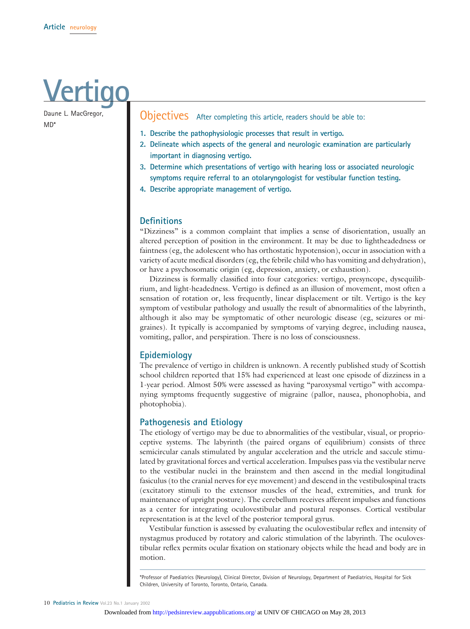# **Vertigo**

Daune L. MacGregor, MD\*

### Objectives After completing this article, readers should be able to:

- **1. Describe the pathophysiologic processes that result in vertigo.**
- **2. Delineate which aspects of the general and neurologic examination are particularly important in diagnosing vertigo.**
- **3. Determine which presentations of vertigo with hearing loss or associated neurologic symptoms require referral to an otolaryngologist for vestibular function testing.**
- **4. Describe appropriate management of vertigo.**

#### **Definitions**

"Dizziness" is a common complaint that implies a sense of disorientation, usually an altered perception of position in the environment. It may be due to lightheadedness or faintness (eg, the adolescent who has orthostatic hypotension), occur in association with a variety of acute medical disorders (eg, the febrile child who has vomiting and dehydration), or have a psychosomatic origin (eg, depression, anxiety, or exhaustion).

Dizziness is formally classified into four categories: vertigo, presyncope, dysequilibrium, and light-headedness. Vertigo is defined as an illusion of movement, most often a sensation of rotation or, less frequently, linear displacement or tilt. Vertigo is the key symptom of vestibular pathology and usually the result of abnormalities of the labyrinth, although it also may be symptomatic of other neurologic disease (eg, seizures or migraines). It typically is accompanied by symptoms of varying degree, including nausea, vomiting, pallor, and perspiration. There is no loss of consciousness.

#### **Epidemiology**

The prevalence of vertigo in children is unknown. A recently published study of Scottish school children reported that 15% had experienced at least one episode of dizziness in a 1-year period. Almost 50% were assessed as having "paroxysmal vertigo" with accompanying symptoms frequently suggestive of migraine (pallor, nausea, phonophobia, and photophobia).

#### **Pathogenesis and Etiology**

The etiology of vertigo may be due to abnormalities of the vestibular, visual, or proprioceptive systems. The labyrinth (the paired organs of equilibrium) consists of three semicircular canals stimulated by angular acceleration and the utricle and saccule stimulated by gravitational forces and vertical acceleration. Impulses pass via the vestibular nerve to the vestibular nuclei in the brainstem and then ascend in the medial longitudinal fasiculus (to the cranial nerves for eye movement) and descend in the vestibulospinal tracts (excitatory stimuli to the extensor muscles of the head, extremities, and trunk for maintenance of upright posture). The cerebellum receives afferent impulses and functions as a center for integrating oculovestibular and postural responses. Cortical vestibular representation is at the level of the posterior temporal gyrus.

Vestibular function is assessed by evaluating the oculovestibular reflex and intensity of nystagmus produced by rotatory and caloric stimulation of the labyrinth. The oculovestibular reflex permits ocular fixation on stationary objects while the head and body are in motion.

\*Professor of Paediatrics (Neurology), Clinical Director, Division of Neurology, Department of Paediatrics, Hospital for Sick Children, University of Toronto, Toronto, Ontario, Canada.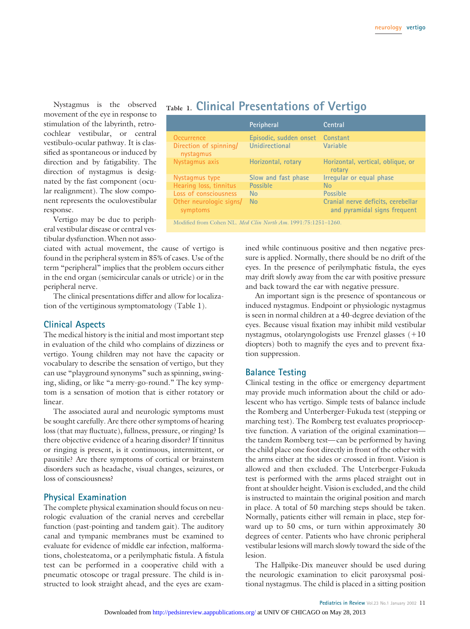Nystagmus is the observed movement of the eye in response to stimulation of the labyrinth, retrocochlear vestibular, or central vestibulo-ocular pathway. It is classified as spontaneous or induced by direction and by fatigability. The direction of nystagmus is designated by the fast component (ocular realignment). The slow component represents the oculovestibular response.

|                                                               | Peripheral             | Central                                                            |
|---------------------------------------------------------------|------------------------|--------------------------------------------------------------------|
| <b>Occurrence</b>                                             | Episodic, sudden onset | Constant                                                           |
| Direction of spinning/<br>nystagmus                           | Unidirectional         | Variable                                                           |
| Nystagmus axis                                                | Horizontal, rotary     | Horizontal, vertical, oblique, or<br>rotary                        |
| Nystagmus type                                                | Slow and fast phase    | Irregular or equal phase                                           |
| Hearing loss, tinnitus                                        | <b>Possible</b>        | <b>No</b>                                                          |
| Loss of consciousness                                         | <b>No</b>              | <b>Possible</b>                                                    |
| Other neurologic signs/<br>symptoms                           | <b>No</b>              | Cranial nerve deficits, cerebellar<br>and pyramidal signs frequent |
| Modified from Cohen NL. Med Clin North Am. 1991:75:1251-1260. |                        |                                                                    |

# **Table 1. Clinical Presentations of Vertigo**

Vertigo may be due to peripheral vestibular disease or central vestibular dysfunction. When not asso-

ciated with actual movement, the cause of vertigo is found in the peripheral system in 85% of cases. Use of the term "peripheral" implies that the problem occurs either in the end organ (semicircular canals or utricle) or in the peripheral nerve.

The clinical presentations differ and allow for localization of the vertiginous symptomatology (Table 1).

#### **Clinical Aspects**

The medical history is the initial and most important step in evaluation of the child who complains of dizziness or vertigo. Young children may not have the capacity or vocabulary to describe the sensation of vertigo, but they can use "playground synonyms" such as spinning, swinging, sliding, or like "a merry-go-round." The key symptom is a sensation of motion that is either rotatory or linear.

The associated aural and neurologic symptoms must be sought carefully. Are there other symptoms of hearing loss (that may fluctuate), fullness, pressure, or ringing? Is there objective evidence of a hearing disorder? If tinnitus or ringing is present, is it continuous, intermittent, or pausitile? Are there symptoms of cortical or brainstem disorders such as headache, visual changes, seizures, or loss of consciousness?

#### **Physical Examination**

The complete physical examination should focus on neurologic evaluation of the cranial nerves and cerebellar function (past-pointing and tandem gait). The auditory canal and tympanic membranes must be examined to evaluate for evidence of middle ear infection, malformations, cholesteatoma, or a perilymphatic fistula. A fistula test can be performed in a cooperative child with a pneumatic otoscope or tragal pressure. The child is instructed to look straight ahead, and the eyes are examined while continuous positive and then negative pressure is applied. Normally, there should be no drift of the eyes. In the presence of perilymphatic fistula, the eyes may drift slowly away from the ear with positive pressure and back toward the ear with negative pressure.

An important sign is the presence of spontaneous or induced nystagmus. Endpoint or physiologic nystagmus is seen in normal children at a 40-degree deviation of the eyes. Because visual fixation may inhibit mild vestibular nystagmus, otolaryngologists use Frenzel glasses  $(+10)$ diopters) both to magnify the eyes and to prevent fixation suppression.

#### **Balance Testing**

Clinical testing in the office or emergency department may provide much information about the child or adolescent who has vertigo. Simple tests of balance include the Romberg and Unterberger-Fukuda test (stepping or marching test). The Romberg test evaluates proprioceptive function. A variation of the original examination the tandem Romberg test—can be performed by having the child place one foot directly in front of the other with the arms either at the sides or crossed in front. Vision is allowed and then excluded. The Unterberger-Fukuda test is performed with the arms placed straight out in front at shoulder height. Vision is excluded, and the child is instructed to maintain the original position and march in place. A total of 50 marching steps should be taken. Normally, patients either will remain in place, step forward up to 50 cms, or turn within approximately 30 degrees of center. Patients who have chronic peripheral vestibular lesions will march slowly toward the side of the lesion.

The Hallpike-Dix maneuver should be used during the neurologic examination to elicit paroxysmal positional nystagmus. The child is placed in a sitting position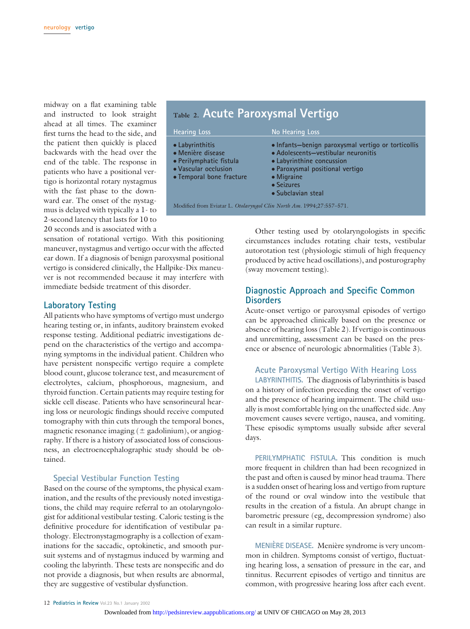midway on a flat examining table and instructed to look straight ahead at all times. The examiner first turns the head to the side, and the patient then quickly is placed backwards with the head over the end of the table. The response in patients who have a positional vertigo is horizontal rotary nystagmus with the fast phase to the downward ear. The onset of the nystagmus is delayed with typically a 1- to 2-second latency that lasts for 10 to 20 seconds and is associated with a

# **Table 2. Acute Paroxysmal Vertigo**

| <b>Hearing Loss</b>                                                                                                 | No Hearing Loss                                                                                                                                                                                                     |
|---------------------------------------------------------------------------------------------------------------------|---------------------------------------------------------------------------------------------------------------------------------------------------------------------------------------------------------------------|
| • Labyrinthitis<br>• Menière disease<br>· Perilymphatic fistula<br>• Vascular occlusion<br>• Temporal bone fracture | • Infants-benign paroxysmal vertigo or torticollis<br>• Adolescents-vestibular neuronitis<br>• Labyrinthine concussion<br>• Paroxysmal positional vertigo<br>$\bullet$ Migraine<br>• Seizures<br>• Subclavian steal |
| Modified from Eviatar L. Otolaryngol Clin North Am. 1994;27:557-571.                                                |                                                                                                                                                                                                                     |

sensation of rotational vertigo. With this positioning maneuver, nystagmus and vertigo occur with the affected ear down. If a diagnosis of benign paroxysmal positional vertigo is considered clinically, the Hallpike-Dix maneuver is not recommended because it may interfere with immediate bedside treatment of this disorder.

#### **Laboratory Testing**

All patients who have symptoms of vertigo must undergo hearing testing or, in infants, auditory brainstem evoked response testing. Additional pediatric investigations depend on the characteristics of the vertigo and accompanying symptoms in the individual patient. Children who have persistent nonspecific vertigo require a complete blood count, glucose tolerance test, and measurement of electrolytes, calcium, phosphorous, magnesium, and thyroid function. Certain patients may require testing for sickle cell disease. Patients who have sensorineural hearing loss or neurologic findings should receive computed tomography with thin cuts through the temporal bones, magnetic resonance imaging  $(\pm$  gadolinium), or angiography. If there is a history of associated loss of consciousness, an electroencephalographic study should be obtained.

#### **Special Vestibular Function Testing**

Based on the course of the symptoms, the physical examination, and the results of the previously noted investigations, the child may require referral to an otolaryngologist for additional vestibular testing. Caloric testing is the definitive procedure for identification of vestibular pathology. Electronystagmography is a collection of examinations for the saccadic, optokinetic, and smooth pursuit systems and of nystagmus induced by warming and cooling the labyrinth. These tests are nonspecific and do not provide a diagnosis, but when results are abnormal, they are suggestive of vestibular dysfunction.

Other testing used by otolaryngologists in specific circumstances includes rotating chair tests, vestibular autorotation test (physiologic stimuli of high frequency produced by active head oscillations), and posturography (sway movement testing).

#### **Diagnostic Approach and Specific Common Disorders**

Acute-onset vertigo or paroxysmal episodes of vertigo can be approached clinically based on the presence or absence of hearing loss (Table 2). If vertigo is continuous and unremitting, assessment can be based on the presence or absence of neurologic abnormalities (Table 3).

#### **Acute Paroxysmal Vertigo With Hearing Loss**

**LABYRINTHITIS.** The diagnosis of labyrinthitis is based on a history of infection preceding the onset of vertigo and the presence of hearing impairment. The child usually is most comfortable lying on the unaffected side. Any movement causes severe vertigo, nausea, and vomiting. These episodic symptoms usually subside after several days.

**PERILYMPHATIC FISTULA.** This condition is much more frequent in children than had been recognized in the past and often is caused by minor head trauma. There is a sudden onset of hearing loss and vertigo from rupture of the round or oval window into the vestibule that results in the creation of a fistula. An abrupt change in barometric pressure (eg, decompression syndrome) also can result in a similar rupture.

**MENIÈRE DISEASE.** Menière syndrome is very uncommon in children. Symptoms consist of vertigo, fluctuating hearing loss, a sensation of pressure in the ear, and tinnitus. Recurrent episodes of vertigo and tinnitus are common, with progressive hearing loss after each event.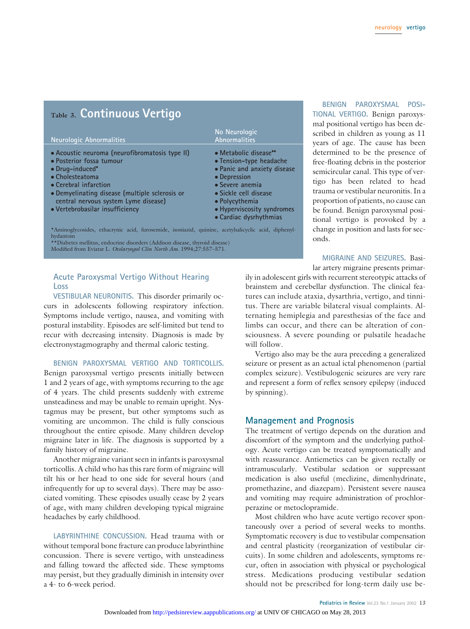| Table 3. Continuous Vertigo                                                                           |                                                                         |
|-------------------------------------------------------------------------------------------------------|-------------------------------------------------------------------------|
| <b>Neurologic Abnormalities</b>                                                                       | No Neurologic<br><b>Abnormalities</b>                                   |
| • Acoustic neuroma (neurofibromatosis type II)<br>• Posterior fossa tumour<br>$\bullet$ Drug-induced* | • Metabolic disease**<br>• Tension-type heada<br>• Panic and anxiety of |
| • Cholesteatoma                                                                                       | • Depression                                                            |

- **Cerebral infarction Severe anemia**
- **Demyelinating disease (multiple sclerosis or central nervous system Lyme disease)**
- 
- **Vertebrobasilar insufficiency Hyperviscosity syndromes** ● **Cardiac dysrhythmias**

● **Sickle cell disease** ● **Polycythemia**

● **Posterior fossa tumour** ● **Tension-type headache** ● **Drug-induced\*** ● **Panic and anxiety disease**

\*Aminoglycosides, ethacrynic acid, furosemide, isoniazid, quinine, acetylsalicyclic acid, diphenylhydantoin

\*\*Diabetes mellitus, endocrine disorders (Addison disease, thyroid disease) Modified from Eviatar L. *Otolaryngol Clin North Am.* 1994;27:557–571.

#### **Acute Paroxysmal Vertigo Without Hearing Loss**

**VESTIBULAR NEURONITIS.** This disorder primarily occurs in adolescents following respiratory infection. Symptoms include vertigo, nausea, and vomiting with postural instability. Episodes are self-limited but tend to recur with decreasing intensity. Diagnosis is made by electronystagmography and thermal caloric testing.

**BENIGN PAROXYSMAL VERTIGO AND TORTICOLLIS.** Benign paroxysmal vertigo presents initially between 1 and 2 years of age, with symptoms recurring to the age of 4 years. The child presents suddenly with extreme unsteadiness and may be unable to remain upright. Nystagmus may be present, but other symptoms such as vomiting are uncommon. The child is fully conscious throughout the entire episode. Many children develop migraine later in life. The diagnosis is supported by a family history of migraine.

Another migraine variant seen in infants is paroxysmal torticollis. A child who has this rare form of migraine will tilt his or her head to one side for several hours (and infrequently for up to several days). There may be associated vomiting. These episodes usually cease by 2 years of age, with many children developing typical migraine headaches by early childhood.

**LABYRINTHINE CONCUSSION.** Head trauma with or without temporal bone fracture can produce labyrinthine concussion. There is severe vertigo, with unsteadiness and falling toward the affected side. These symptoms may persist, but they gradually diminish in intensity over a 4- to 6-week period.

**TIONAL VERTIGO.** Benign paroxysmal positional vertigo has been described in children as young as 11 years of age. The cause has been determined to be the presence of free-floating debris in the posterior semicircular canal. This type of vertigo has been related to head trauma or vestibular neuronitis. In a proportion of patients, no cause can be found. Benign paroxysmal positional vertigo is provoked by a change in position and lasts for sec-

**BENIGN PAROXYSMAL POSI-**

**MIGRAINE AND SEIZURES.** Basi-

lar artery migraine presents primarily in adolescent girls with recurrent stereotypic attacks of brainstem and cerebellar dysfunction. The clinical features can include ataxia, dysarthria, vertigo, and tinnitus. There are variable bilateral visual complaints. Al-

ternating hemiplegia and paresthesias of the face and limbs can occur, and there can be alteration of consciousness. A severe pounding or pulsatile headache will follow.

onds.

Vertigo also may be the aura preceding a generalized seizure or present as an actual ictal phenomenon (partial complex seizure). Vestibulogenic seizures are very rare and represent a form of reflex sensory epilepsy (induced by spinning).

#### **Management and Prognosis**

The treatment of vertigo depends on the duration and discomfort of the symptom and the underlying pathology. Acute vertigo can be treated symptomatically and with reassurance. Antiemetics can be given rectally or intramuscularly. Vestibular sedation or suppressant medication is also useful (meclizine, dimenhydrinate, promethazine, and diazepam). Persistent severe nausea and vomiting may require administration of prochlorperazine or metoclopramide.

Most children who have acute vertigo recover spontaneously over a period of several weeks to months. Symptomatic recovery is due to vestibular compensation and central plasticity (reorganization of vestibular circuits). In some children and adolescents, symptoms recur, often in association with physical or psychological stress. Medications producing vestibular sedation should not be prescribed for long-term daily use be-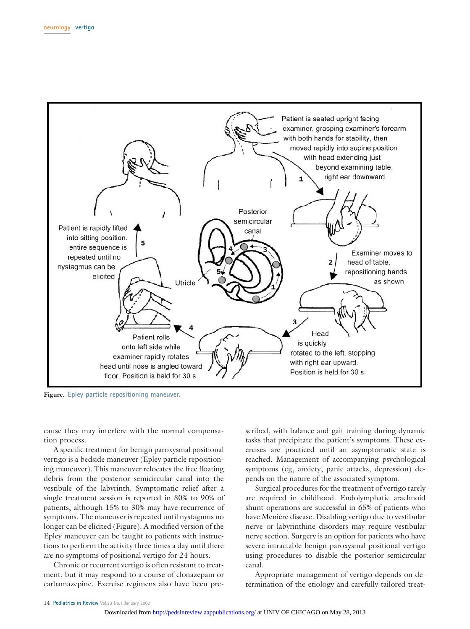

**Figure. Epley particle repositioning maneuver.**

cause they may interfere with the normal compensation process.

A specific treatment for benign paroxysmal positional vertigo is a bedside maneuver (Epley particle repositioning maneuver). This maneuver relocates the free floating debris from the posterior semicircular canal into the vestibule of the labyrinth. Symptomatic relief after a single treatment session is reported in 80% to 90% of patients, although 15% to 30% may have recurrence of symptoms. The maneuver is repeated until nystagmus no longer can be elicited (Figure). A modified version of the Epley maneuver can be taught to patients with instructions to perform the activity three times a day until there are no symptoms of positional vertigo for 24 hours.

Chronic or recurrent vertigo is often resistant to treatment, but it may respond to a course of clonazepam or carbamazepine. Exercise regimens also have been prescribed, with balance and gait training during dynamic tasks that precipitate the patient's symptoms. These exercises are practiced until an asymptomatic state is reached. Management of accompanying psychological symptoms (eg, anxiety, panic attacks, depression) depends on the nature of the associated symptom.

Surgical procedures for the treatment of vertigo rarely are required in childhood. Endolymphatic arachnoid shunt operations are successful in 65% of patients who have Menière disease. Disabling vertigo due to vestibular nerve or labyrinthine disorders may require vestibular nerve section. Surgery is an option for patients who have severe intractable benign paroxysmal positional vertigo using procedures to disable the posterior semicircular canal.

Appropriate management of vertigo depends on determination of the etiology and carefully tailored treat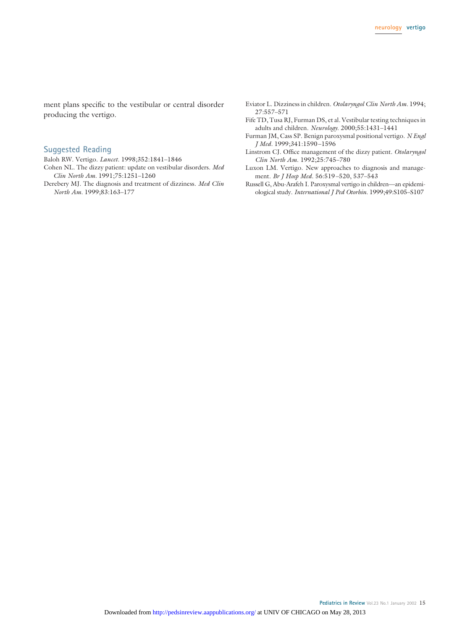ment plans specific to the vestibular or central disorder producing the vertigo.

#### **Suggested Reading**

- Baloh RW. Vertigo. *Lancet.* 1998;352:1841–1846
- Cohen NL. The dizzy patient: update on vestibular disorders. *Med Clin North Am.* 1991;75:1251–1260
- Derebery MJ. The diagnosis and treatment of dizziness. *Med Clin North Am.* 1999;83:163–177
- Eviator L. Dizziness in children. *Otolaryngol Clin North Am.* 1994; 27:557–571
- Fife TD, Tusa RJ, Furman DS, et al. Vestibular testing techniques in adults and children*. Neurology*. 2000;55:1431–1441
- Furman JM, Cass SP. Benign paroxysmal positional vertigo. *N Engl J Med.* 1999;341:1590–1596
- Linstrom CJ. Office management of the dizzy patient. *Otolaryngol Clin North Am*. 1992;25:745–780
- Luxon LM. Vertigo. New approaches to diagnosis and management. *Br J Hosp Med*. 56:519–520, 537–543
- Russell G, Abu-Arafeh I. Paroxysmal vertigo in children—an epidemiological study. *International J Ped Otorhin.* 1999;49:S105–S107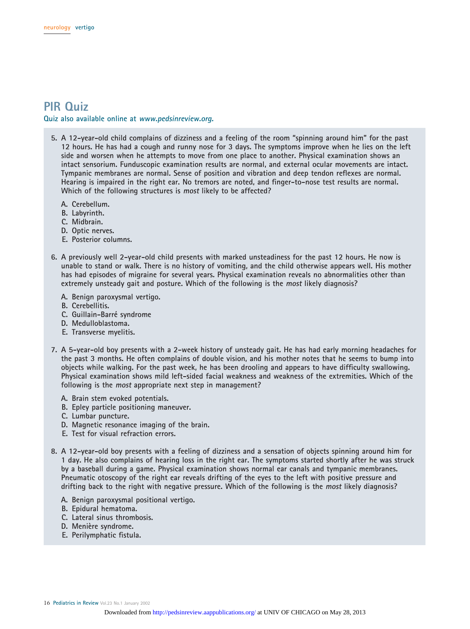## **PIR Quiz**

#### **Quiz also available online at www.pedsinreview.org.**

- **5. A 12-year-old child complains of dizziness and a feeling of the room "spinning around him" for the past 12 hours. He has had a cough and runny nose for 3 days. The symptoms improve when he lies on the left side and worsen when he attempts to move from one place to another. Physical examination shows an intact sensorium. Funduscopic examination results are normal, and external ocular movements are intact. Tympanic membranes are normal. Sense of position and vibration and deep tendon reflexes are normal. Hearing is impaired in the right ear. No tremors are noted, and finger-to-nose test results are normal. Which of the following structures is most likely to be affected?**
	- **A. Cerebellum.**
	- **B. Labyrinth.**
	- **C. Midbrain.**
	- **D. Optic nerves.**
	- **E. Posterior columns.**
- **6. A previously well 2-year-old child presents with marked unsteadiness for the past 12 hours. He now is unable to stand or walk. There is no history of vomiting, and the child otherwise appears well. His mother has had episodes of migraine for several years. Physical examination reveals no abnormalities other than extremely unsteady gait and posture. Which of the following is the most likely diagnosis?**
	- **A. Benign paroxysmal vertigo.**
	- **B. Cerebellitis.**
	- **C. Guillain-Barre´ syndrome**
	- **D. Medulloblastoma.**
	- **E. Transverse myelitis.**
- **7. A 5-year-old boy presents with a 2-week history of unsteady gait. He has had early morning headaches for the past 3 months. He often complains of double vision, and his mother notes that he seems to bump into objects while walking. For the past week, he has been drooling and appears to have difficulty swallowing. Physical examination shows mild left-sided facial weakness and weakness of the extremities. Which of the following is the most appropriate next step in management?**
	- **A. Brain stem evoked potentials.**
	- **B. Epley particle positioning maneuver.**
	- **C. Lumbar puncture.**
	- **D. Magnetic resonance imaging of the brain.**
	- **E. Test for visual refraction errors.**
- **8. A 12-year-old boy presents with a feeling of dizziness and a sensation of objects spinning around him for 1 day. He also complains of hearing loss in the right ear. The symptoms started shortly after he was struck by a baseball during a game. Physical examination shows normal ear canals and tympanic membranes. Pneumatic otoscopy of the right ear reveals drifting of the eyes to the left with positive pressure and drifting back to the right with negative pressure. Which of the following is the most likely diagnosis?**
	- **A. Benign paroxysmal positional vertigo.**
	- **B. Epidural hematoma.**
	- **C. Lateral sinus thrombosis.**
	- **D.** Menière syndrome.
	- **E. Perilymphatic fistula.**